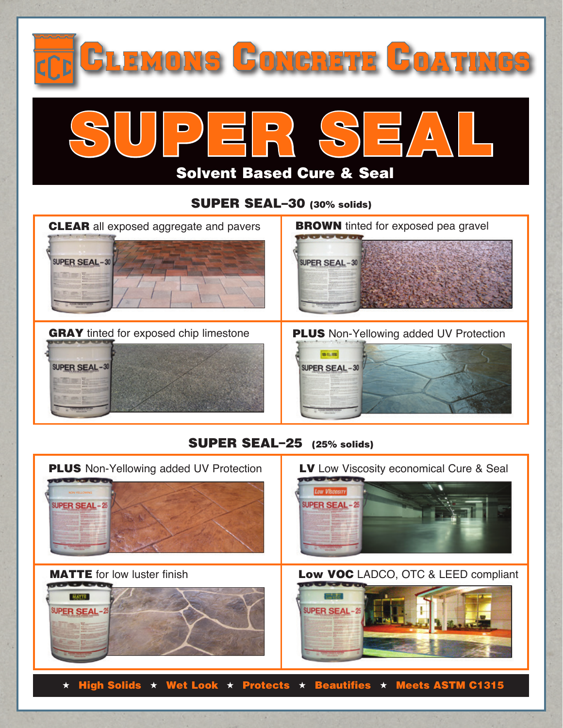

 $\star$  High Solids  $\star$  Wet Look  $\star$  Protects  $\star$  Beautifies  $\star$  Meets ASTM C1315